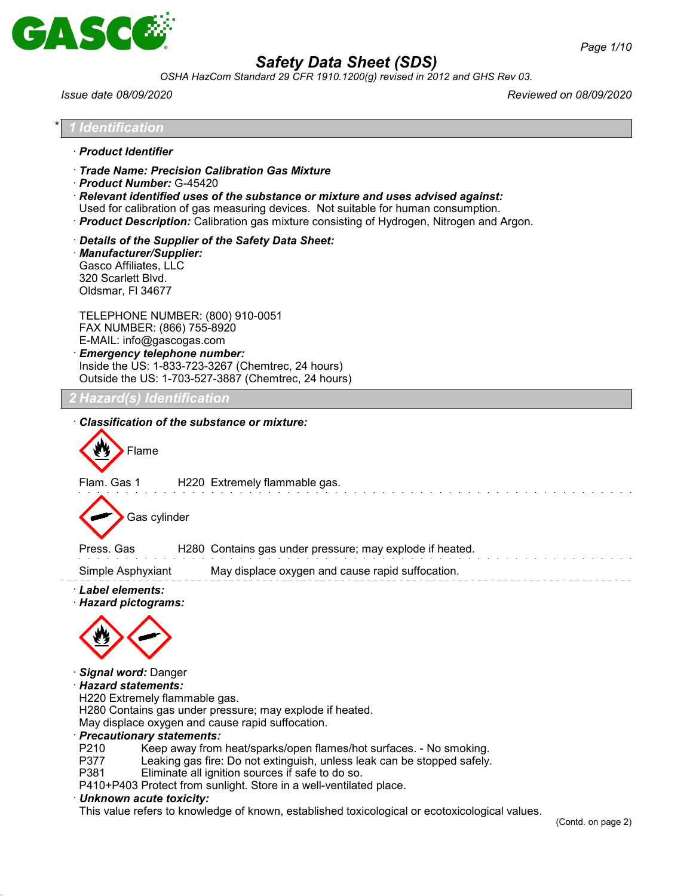

*OSHA HazCom Standard 29 CFR 1910.1200(g) revised in 2012 and GHS Rev 03.*

| Issue date 08/09/2020                                                                                                             |                                                                                                                                                                                                                               |                                                                                            | Reviewed on 08/09/2020 |
|-----------------------------------------------------------------------------------------------------------------------------------|-------------------------------------------------------------------------------------------------------------------------------------------------------------------------------------------------------------------------------|--------------------------------------------------------------------------------------------|------------------------|
| <b>Identification</b>                                                                                                             |                                                                                                                                                                                                                               |                                                                                            |                        |
| · Product Identifier                                                                                                              |                                                                                                                                                                                                                               |                                                                                            |                        |
| · Product Number: G-45420                                                                                                         | Trade Name: Precision Calibration Gas Mixture<br>$\cdot$ Relevant identified uses of the substance or mixture and uses advised against:<br>Used for calibration of gas measuring devices. Not suitable for human consumption. | · Product Description: Calibration gas mixture consisting of Hydrogen, Nitrogen and Argon. |                        |
| · Manufacturer/Supplier:<br>Gasco Affiliates, LLC<br>320 Scarlett Blvd.<br>Oldsmar, FI 34677                                      | Details of the Supplier of the Safety Data Sheet:                                                                                                                                                                             |                                                                                            |                        |
| TELEPHONE NUMBER: (800) 910-0051<br>FAX NUMBER: (866) 755-8920<br>E-MAIL: info@gascogas.com<br><b>Emergency telephone number:</b> | Inside the US: 1-833-723-3267 (Chemtrec, 24 hours)<br>Outside the US: 1-703-527-3887 (Chemtrec, 24 hours)                                                                                                                     |                                                                                            |                        |
| <u>Hazard(s) Identification</u>                                                                                                   |                                                                                                                                                                                                                               |                                                                                            |                        |
| Flam. Gas 1<br>Gas cylinder                                                                                                       | H220 Extremely flammable gas.                                                                                                                                                                                                 |                                                                                            |                        |
| Press. Gas                                                                                                                        | H280 Contains gas under pressure; may explode if heated.                                                                                                                                                                      |                                                                                            |                        |
| Simple Asphyxiant<br>· Label elements:<br>· Hazard pictograms:                                                                    | May displace oxygen and cause rapid suffocation.                                                                                                                                                                              |                                                                                            |                        |
| · Signal word: Danger<br>· Hazard statements:<br>H220 Extremely flammable gas.                                                    | H280 Contains gas under pressure; may explode if heated.<br>May displace oxygen and cause rapid suffocation.                                                                                                                  |                                                                                            |                        |

(Contd. on page 2)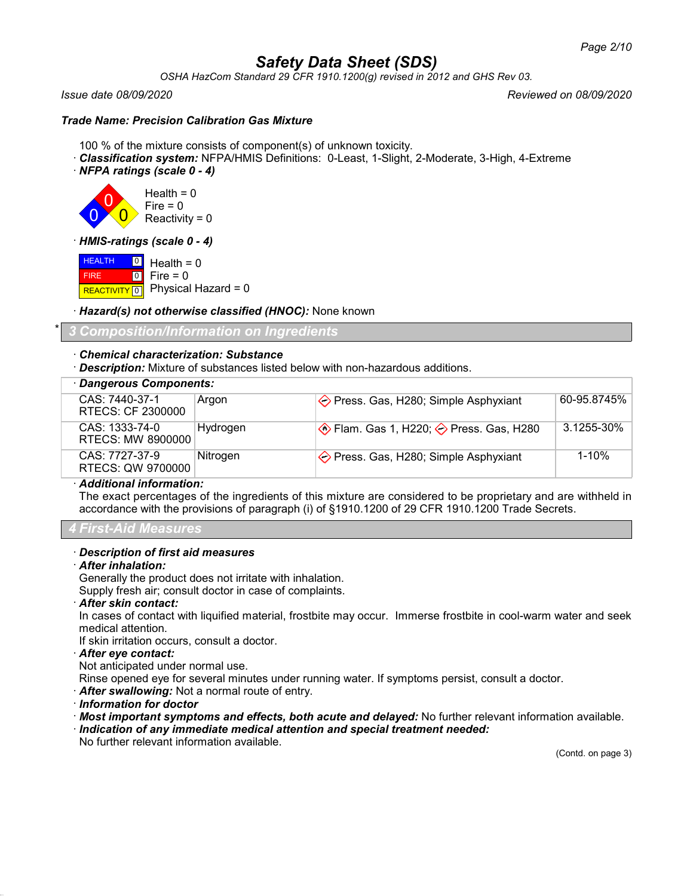*OSHA HazCom Standard 29 CFR 1910.1200(g) revised in 2012 and GHS Rev 03.*

### *Issue date 08/09/2020 Reviewed on 08/09/2020*

### *Trade Name: Precision Calibration Gas Mixture*

- 100 % of the mixture consists of component(s) of unknown toxicity.
- · *Classification system:* NFPA/HMIS Definitions: 0-Least, 1-Slight, 2-Moderate, 3-High, 4-Extreme
- · *NFPA ratings (scale 0 4)*



· *HMIS-ratings (scale 0 - 4)*

**HEALTH**  FIRE **REACTIVITY** 0 0 Health = 0  $\boxed{0}$  $Fire = 0$ Physical Hazard = 0

· *Hazard(s) not otherwise classified (HNOC):* None known

\* *3 Composition/Information on Ingredients*

## · *Chemical characterization: Substance*

· *Description:* Mixture of substances listed below with non-hazardous additions.

| · Dangerous Components:             |          |                                                         |             |  |
|-------------------------------------|----------|---------------------------------------------------------|-------------|--|
| CAS: 7440-37-1<br>RTECS: CF 2300000 | Argon    | $\Diamond$ Press. Gas, H280; Simple Asphyxiant          | 60-95.8745% |  |
| CAS: 1333-74-0<br>RTECS: MW 8900000 | Hydrogen | $\otimes$ Flam. Gas 1, H220; $\otimes$ Press. Gas, H280 | 3.1255-30%  |  |
| CAS: 7727-37-9<br>RTECS: QW 9700000 | Nitrogen | $\Diamond$ Press. Gas, H280; Simple Asphyxiant          | 1-10%       |  |

### · *Additional information:*

The exact percentages of the ingredients of this mixture are considered to be proprietary and are withheld in accordance with the provisions of paragraph (i) of §1910.1200 of 29 CFR 1910.1200 Trade Secrets.

### *4 First-Aid Measures*

#### · *Description of first aid measures*

### · *After inhalation:*

Generally the product does not irritate with inhalation.

Supply fresh air; consult doctor in case of complaints.

· *After skin contact:*

In cases of contact with liquified material, frostbite may occur. Immerse frostbite in cool-warm water and seek medical attention.

If skin irritation occurs, consult a doctor.

### · *After eye contact:*

Not anticipated under normal use.

Rinse opened eye for several minutes under running water. If symptoms persist, consult a doctor.

- · *After swallowing:* Not a normal route of entry.
- · *Information for doctor*
- · *Most important symptoms and effects, both acute and delayed:* No further relevant information available.
- · *Indication of any immediate medical attention and special treatment needed:*

No further relevant information available.

(Contd. on page 3)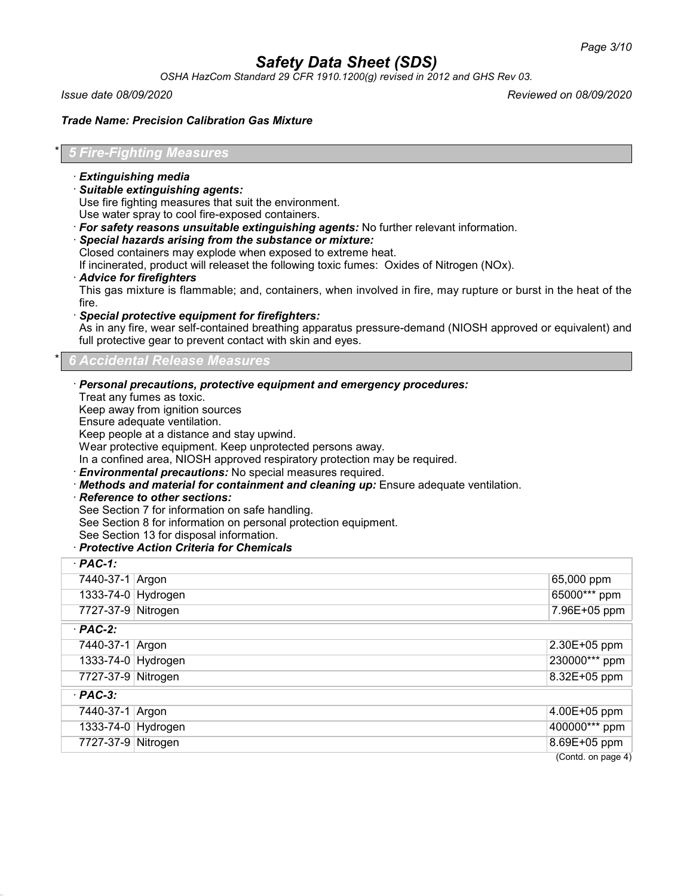*OSHA HazCom Standard 29 CFR 1910.1200(g) revised in 2012 and GHS Rev 03.*

*Issue date 08/09/2020 Reviewed on 08/09/2020*

### *Trade Name: Precision Calibration Gas Mixture*

### \* *5 Fire-Fighting Measures*

- · *Extinguishing media*
- · *Suitable extinguishing agents:*

Use fire fighting measures that suit the environment.

Use water spray to cool fire-exposed containers.

- · *For safety reasons unsuitable extinguishing agents:* No further relevant information.
- · *Special hazards arising from the substance or mixture:*
- Closed containers may explode when exposed to extreme heat.

If incinerated, product will releaset the following toxic fumes: Oxides of Nitrogen (NOx).

#### · *Advice for firefighters*

This gas mixture is flammable; and, containers, when involved in fire, may rupture or burst in the heat of the fire.

· *Special protective equipment for firefighters:*

As in any fire, wear self-contained breathing apparatus pressure-demand (NIOSH approved or equivalent) and full protective gear to prevent contact with skin and eyes.

#### \* *6 Accidental Release Measures*

### · *Personal precautions, protective equipment and emergency procedures:*

Treat any fumes as toxic.

Keep away from ignition sources

Ensure adequate ventilation.

Keep people at a distance and stay upwind.

Wear protective equipment. Keep unprotected persons away.

In a confined area, NIOSH approved respiratory protection may be required.

· *Environmental precautions:* No special measures required.

- · *Methods and material for containment and cleaning up:* Ensure adequate ventilation.
- · *Reference to other sections:*

See Section 7 for information on safe handling.

See Section 8 for information on personal protection equipment.

See Section 13 for disposal information.

#### · *Protective Action Criteria for Chemicals*

| $·$ PAC-1:         |                    |
|--------------------|--------------------|
| 7440-37-1 Argon    | 65,000 ppm         |
| 1333-74-0 Hydrogen | 65000*** ppm       |
| 7727-37-9 Nitrogen | 7.96E+05 ppm       |
| $·$ PAC-2:         |                    |
| 7440-37-1 Argon    | 2.30E+05 ppm       |
| 1333-74-0 Hydrogen | 230000*** ppm      |
| 7727-37-9 Nitrogen | 8.32E+05 ppm       |
| $·$ PAC-3:         |                    |
| 7440-37-1 Argon    | 4.00E+05 ppm       |
| 1333-74-0 Hydrogen | 400000*** ppm      |
| 7727-37-9 Nitrogen | 8.69E+05 ppm       |
|                    | (Contd. on page 4) |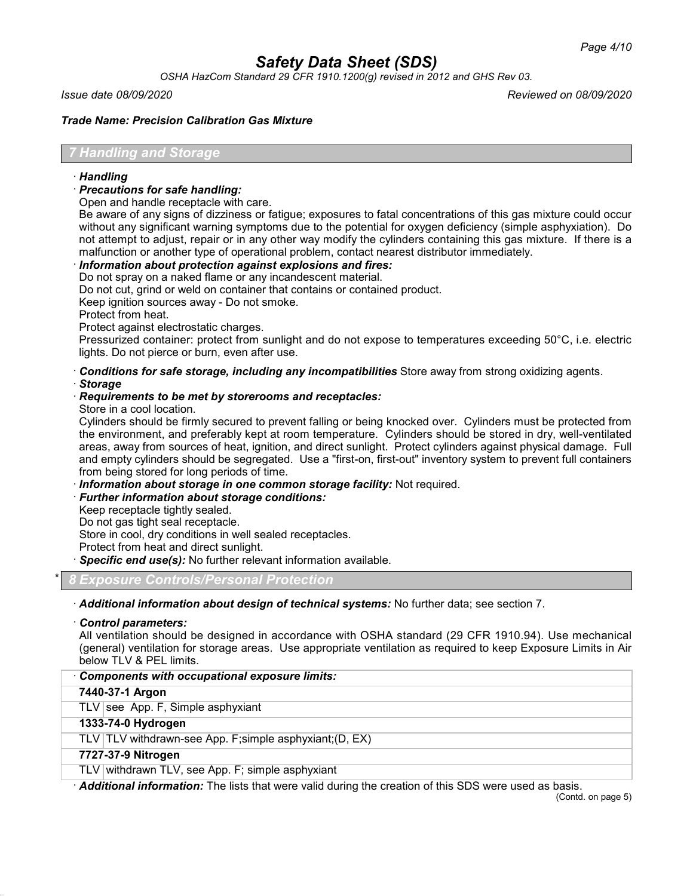*OSHA HazCom Standard 29 CFR 1910.1200(g) revised in 2012 and GHS Rev 03.*

*Issue date 08/09/2020 Reviewed on 08/09/2020*

*Trade Name: Precision Calibration Gas Mixture*

## *7 Handling and Storage*

### · *Handling*

## · *Precautions for safe handling:*

### Open and handle receptacle with care.

Be aware of any signs of dizziness or fatigue; exposures to fatal concentrations of this gas mixture could occur without any significant warning symptoms due to the potential for oxygen deficiency (simple asphyxiation). Do not attempt to adjust, repair or in any other way modify the cylinders containing this gas mixture. If there is a malfunction or another type of operational problem, contact nearest distributor immediately.

## · *Information about protection against explosions and fires:*

Do not spray on a naked flame or any incandescent material.

Do not cut, grind or weld on container that contains or contained product.

Keep ignition sources away - Do not smoke.

Protect from heat.

Protect against electrostatic charges.

Pressurized container: protect from sunlight and do not expose to temperatures exceeding 50°C, i.e. electric lights. Do not pierce or burn, even after use.

- · *Conditions for safe storage, including any incompatibilities* Store away from strong oxidizing agents.
- · *Storage*
- · *Requirements to be met by storerooms and receptacles:*
- Store in a cool location.

Cylinders should be firmly secured to prevent falling or being knocked over. Cylinders must be protected from the environment, and preferably kept at room temperature. Cylinders should be stored in dry, well-ventilated areas, away from sources of heat, ignition, and direct sunlight. Protect cylinders against physical damage. Full and empty cylinders should be segregated. Use a "first-on, first-out" inventory system to prevent full containers from being stored for long periods of time.

· *Information about storage in one common storage facility:* Not required.

# · *Further information about storage conditions:*

Keep receptacle tightly sealed.

Do not gas tight seal receptacle.

Store in cool, dry conditions in well sealed receptacles.

Protect from heat and direct sunlight.

Specific end use(s): No further relevant information available.

# \* *8 Exposure Controls/Personal Protection*

· *Additional information about design of technical systems:* No further data; see section 7.

· *Control parameters:*

All ventilation should be designed in accordance with OSHA standard (29 CFR 1910.94). Use mechanical (general) ventilation for storage areas. Use appropriate ventilation as required to keep Exposure Limits in Air below TLV & PEL limits.

· *Components with occupational exposure limits:*

**7440-37-1 Argon**

 $TLV$  see App. F, Simple asphyxiant

### **1333-74-0 Hydrogen**

TLV TLV withdrawn-see App. F;simple asphyxiant;(D, EX)

### **7727-37-9 Nitrogen**

TLV withdrawn TLV, see App. F; simple asphyxiant

· *Additional information:* The lists that were valid during the creation of this SDS were used as basis.

(Contd. on page 5)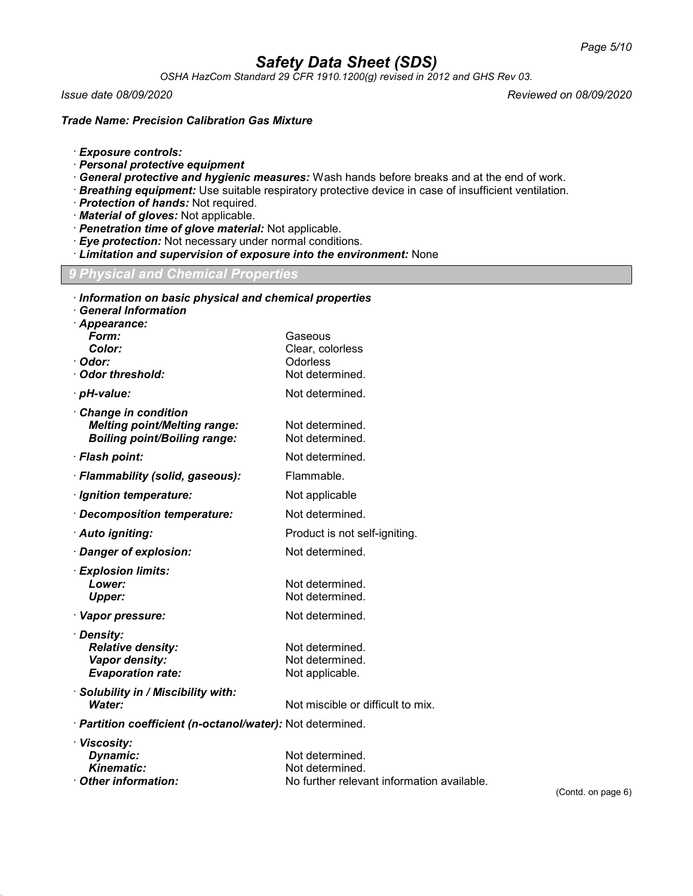*OSHA HazCom Standard 29 CFR 1910.1200(g) revised in 2012 and GHS Rev 03.*

*Issue date 08/09/2020 Reviewed on 08/09/2020*

*Trade Name: Precision Calibration Gas Mixture*

- · *Exposure controls:*
- · *Personal protective equipment*
- · *General protective and hygienic measures:* Wash hands before breaks and at the end of work.
- · *Breathing equipment:* Use suitable respiratory protective device in case of insufficient ventilation.
- · *Protection of hands:* Not required.
- · *Material of gloves:* Not applicable.
- · *Penetration time of glove material:* Not applicable.
- · *Eye protection:* Not necessary under normal conditions.
- · *Limitation and supervision of exposure into the environment:* None
- *9 Physical and Chemical Properties*

| Information on basic physical and chemical properties<br><b>General Information</b><br>· Appearance: |                                                       |
|------------------------------------------------------------------------------------------------------|-------------------------------------------------------|
| Form:<br>Color:<br>· Odor:                                                                           | Gaseous<br>Clear, colorless<br>Odorless               |
| · Odor threshold:                                                                                    | Not determined.                                       |
| · pH-value:                                                                                          | Not determined.                                       |
| Change in condition<br><b>Melting point/Melting range:</b><br><b>Boiling point/Boiling range:</b>    | Not determined.<br>Not determined.                    |
| · Flash point:                                                                                       | Not determined.                                       |
| · Flammability (solid, gaseous):                                                                     | Flammable.                                            |
| · Ignition temperature:                                                                              | Not applicable                                        |
| · Decomposition temperature:                                                                         | Not determined.                                       |
| · Auto igniting:                                                                                     | Product is not self-igniting.                         |
| · Danger of explosion:                                                                               | Not determined.                                       |
| · Explosion limits:<br>Lower:<br><b>Upper:</b>                                                       | Not determined.<br>Not determined.                    |
| · Vapor pressure:                                                                                    | Not determined.                                       |
| · Density:<br><b>Relative density:</b><br>Vapor density:<br><b>Evaporation rate:</b>                 | Not determined.<br>Not determined.<br>Not applicable. |
| · Solubility in / Miscibility with:<br><b>Water:</b>                                                 | Not miscible or difficult to mix.                     |
| · Partition coefficient (n-octanol/water): Not determined.                                           |                                                       |
| · Viscosity:<br>Dynamic:<br><b>Kinematic:</b>                                                        | Not determined.<br>Not determined.                    |
| Other information:                                                                                   | No further relevant information available.            |

(Contd. on page 6)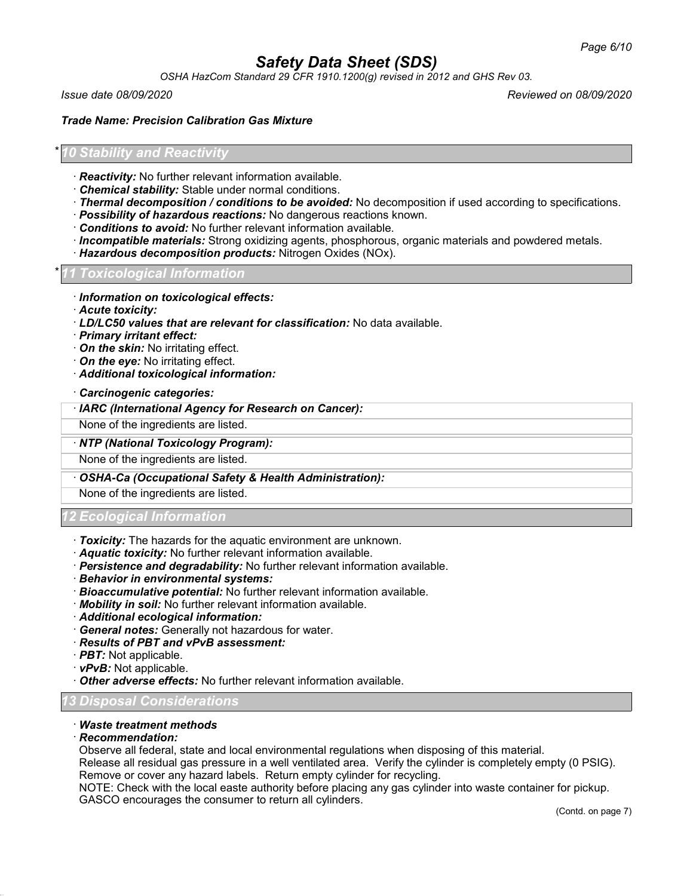*OSHA HazCom Standard 29 CFR 1910.1200(g) revised in 2012 and GHS Rev 03.*

*Issue date 08/09/2020 Reviewed on 08/09/2020*

*Trade Name: Precision Calibration Gas Mixture*

# *Stability and Reactivity*

- · *Reactivity:* No further relevant information available.
- · *Chemical stability:* Stable under normal conditions.
- · *Thermal decomposition / conditions to be avoided:* No decomposition if used according to specifications.
- · *Possibility of hazardous reactions:* No dangerous reactions known.
- · *Conditions to avoid:* No further relevant information available.
- · *Incompatible materials:* Strong oxidizing agents, phosphorous, organic materials and powdered metals.
- · *Hazardous decomposition products:* Nitrogen Oxides (NOx).

## \* *11 Toxicological Information*

- · *Information on toxicological effects:*
- · *Acute toxicity:*
- · *LD/LC50 values that are relevant for classification:* No data available.
- · *Primary irritant effect:*
- · *On the skin:* No irritating effect.
- · *On the eye:* No irritating effect.
- · *Additional toxicological information:*
- · *Carcinogenic categories:*

· *IARC (International Agency for Research on Cancer):*

None of the ingredients are listed.

#### · *NTP (National Toxicology Program):*

None of the ingredients are listed.

· *OSHA-Ca (Occupational Safety & Health Administration):*

None of the ingredients are listed.

### *12 Ecological Information*

- · *Toxicity:* The hazards for the aquatic environment are unknown.
- · *Aquatic toxicity:* No further relevant information available.
- · *Persistence and degradability:* No further relevant information available.
- · *Behavior in environmental systems:*
- · *Bioaccumulative potential:* No further relevant information available.
- · *Mobility in soil:* No further relevant information available.
- · *Additional ecological information:*
- · *General notes:* Generally not hazardous for water.
- · *Results of PBT and vPvB assessment:*
- · *PBT:* Not applicable.
- · *vPvB:* Not applicable.
- · *Other adverse effects:* No further relevant information available.

### *13 Disposal Considerations*

### · *Waste treatment methods*

· *Recommendation:*

Observe all federal, state and local environmental regulations when disposing of this material. Release all residual gas pressure in a well ventilated area. Verify the cylinder is completely empty (0 PSIG). Remove or cover any hazard labels. Return empty cylinder for recycling.

NOTE: Check with the local easte authority before placing any gas cylinder into waste container for pickup. GASCO encourages the consumer to return all cylinders.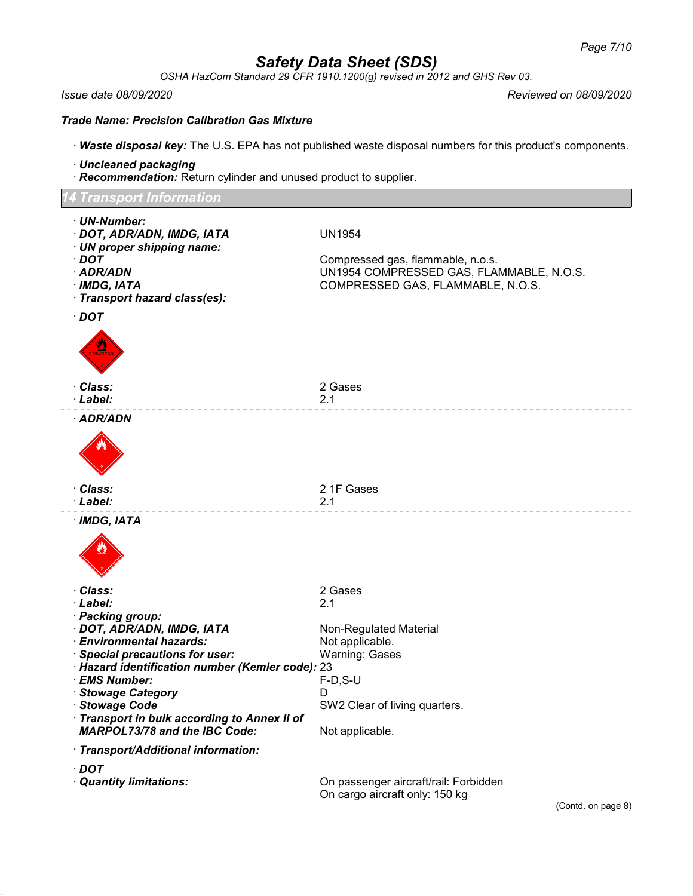*OSHA HazCom Standard 29 CFR 1910.1200(g) revised in 2012 and GHS Rev 03.*

#### *Issue date 08/09/2020 Reviewed on 08/09/2020*

*Trade Name: Precision Calibration Gas Mixture*

· *Waste disposal key:* The U.S. EPA has not published waste disposal numbers for this product's components.

- · *Uncleaned packaging*
- · *Recommendation:* Return cylinder and unused product to supplier.

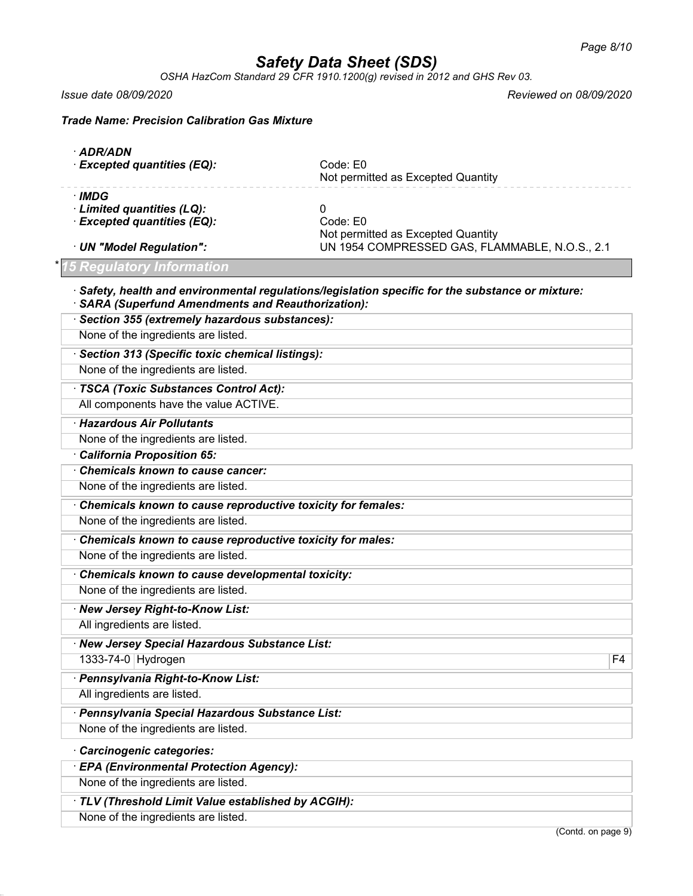*OSHA HazCom Standard 29 CFR 1910.1200(g) revised in 2012 and GHS Rev 03.*

*Issue date 08/09/2020 Reviewed on 08/09/2020*

*Trade Name: Precision Calibration Gas Mixture*

| · ADR/ADN                                                   |                                                                                                 |
|-------------------------------------------------------------|-------------------------------------------------------------------------------------------------|
| <b>Excepted quantities (EQ):</b>                            | Code: E0                                                                                        |
|                                                             | Not permitted as Excepted Quantity                                                              |
| · IMDG                                                      |                                                                                                 |
| · Limited quantities (LQ):<br>· Excepted quantities (EQ):   | 0<br>Code: E0                                                                                   |
|                                                             | Not permitted as Excepted Quantity                                                              |
| · UN "Model Regulation":                                    | UN 1954 COMPRESSED GAS, FLAMMABLE, N.O.S., 2.1                                                  |
| 5 Regulatory Information                                    |                                                                                                 |
| <b>SARA (Superfund Amendments and Reauthorization):</b>     | Safety, health and environmental regulations/legislation specific for the substance or mixture: |
| · Section 355 (extremely hazardous substances):             |                                                                                                 |
| None of the ingredients are listed.                         |                                                                                                 |
| · Section 313 (Specific toxic chemical listings):           |                                                                                                 |
| None of the ingredients are listed.                         |                                                                                                 |
| · TSCA (Toxic Substances Control Act):                      |                                                                                                 |
| All components have the value ACTIVE.                       |                                                                                                 |
| · Hazardous Air Pollutants                                  |                                                                                                 |
| None of the ingredients are listed.                         |                                                                                                 |
| California Proposition 65:                                  |                                                                                                 |
| Chemicals known to cause cancer:                            |                                                                                                 |
| None of the ingredients are listed.                         |                                                                                                 |
| Chemicals known to cause reproductive toxicity for females: |                                                                                                 |
| None of the ingredients are listed.                         |                                                                                                 |
| Chemicals known to cause reproductive toxicity for males:   |                                                                                                 |
| None of the ingredients are listed.                         |                                                                                                 |
| Chemicals known to cause developmental toxicity:            |                                                                                                 |
| None of the ingredients are listed.                         |                                                                                                 |
| · New Jersey Right-to-Know List:                            |                                                                                                 |
| All ingredients are listed.                                 |                                                                                                 |
| · New Jersey Special Hazardous Substance List:              |                                                                                                 |
| 1333-74-0 Hydrogen                                          | F <sub>4</sub>                                                                                  |
| · Pennsylvania Right-to-Know List:                          |                                                                                                 |
| All ingredients are listed.                                 |                                                                                                 |
| · Pennsylvania Special Hazardous Substance List:            |                                                                                                 |
| None of the ingredients are listed.                         |                                                                                                 |
| Carcinogenic categories:                                    |                                                                                                 |
| · EPA (Environmental Protection Agency):                    |                                                                                                 |
| None of the ingredients are listed.                         |                                                                                                 |
| TLV (Threshold Limit Value established by ACGIH):           |                                                                                                 |
| None of the ingredients are listed.                         |                                                                                                 |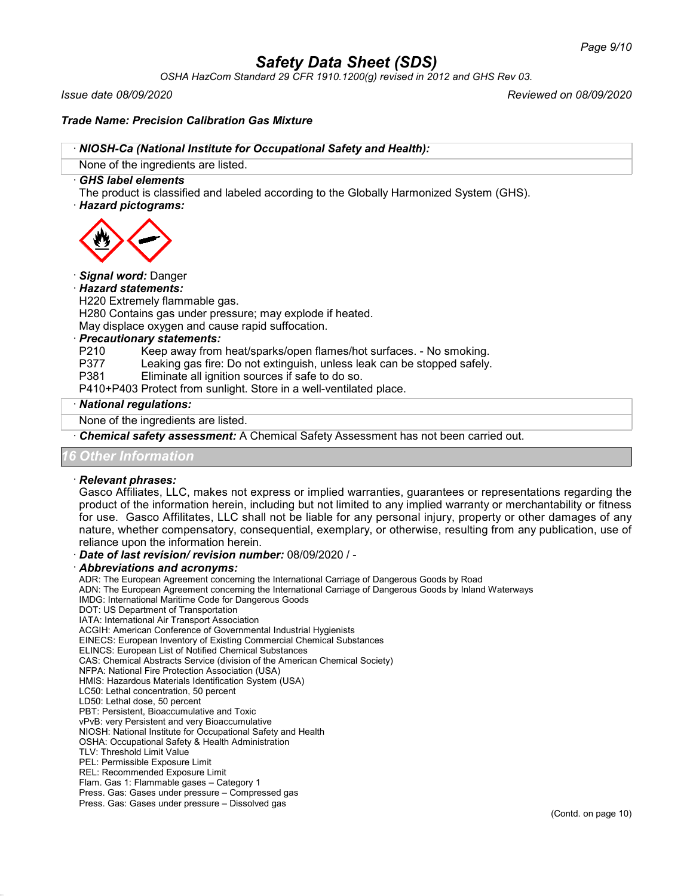*OSHA HazCom Standard 29 CFR 1910.1200(g) revised in 2012 and GHS Rev 03.*

*Issue date 08/09/2020 Reviewed on 08/09/2020*

### *Trade Name: Precision Calibration Gas Mixture*

· *NIOSH-Ca (National Institute for Occupational Safety and Health):*

# None of the ingredients are listed.

### · *GHS label elements*

The product is classified and labeled according to the Globally Harmonized System (GHS).

· *Hazard pictograms:*



### · *Signal word:* Danger

#### · *Hazard statements:*

H220 Extremely flammable gas.

H280 Contains gas under pressure; may explode if heated.

May displace oxygen and cause rapid suffocation.

### · *Precautionary statements:*

- P210 Keep away from heat/sparks/open flames/hot surfaces. No smoking.
	- Leaking gas fire: Do not extinguish, unless leak can be stopped safely.
- P381 Eliminate all ignition sources if safe to do so.
- P410+P403 Protect from sunlight. Store in a well-ventilated place.

#### · *National regulations:*

None of the ingredients are listed.

· *Chemical safety assessment:* A Chemical Safety Assessment has not been carried out.

#### *<i>Other Information*

### · *Relevant phrases:*

Gasco Affiliates, LLC, makes not express or implied warranties, guarantees or representations regarding the product of the information herein, including but not limited to any implied warranty or merchantability or fitness for use. Gasco Affilitates, LLC shall not be liable for any personal injury, property or other damages of any nature, whether compensatory, consequential, exemplary, or otherwise, resulting from any publication, use of reliance upon the information herein.

· *Date of last revision/ revision number:* 08/09/2020 / -

#### · *Abbreviations and acronyms:*

ADR: The European Agreement concerning the International Carriage of Dangerous Goods by Road

- ADN: The European Agreement concerning the International Carriage of Dangerous Goods by Inland Waterways
- IMDG: International Maritime Code for Dangerous Goods
- DOT: US Department of Transportation
- IATA: International Air Transport Association

ACGIH: American Conference of Governmental Industrial Hygienists

EINECS: European Inventory of Existing Commercial Chemical Substances

- ELINCS: European List of Notified Chemical Substances
- CAS: Chemical Abstracts Service (division of the American Chemical Society)
- NFPA: National Fire Protection Association (USA)
- HMIS: Hazardous Materials Identification System (USA)
- LC50: Lethal concentration, 50 percent
- LD50: Lethal dose, 50 percent
- PBT: Persistent, Bioaccumulative and Toxic
- vPvB: very Persistent and very Bioaccumulative
- NIOSH: National Institute for Occupational Safety and Health
- OSHA: Occupational Safety & Health Administration
- TLV: Threshold Limit Value
- PEL: Permissible Exposure Limit
- REL: Recommended Exposure Limit
- Flam. Gas 1: Flammable gases Category 1
- Press. Gas: Gases under pressure Compressed gas